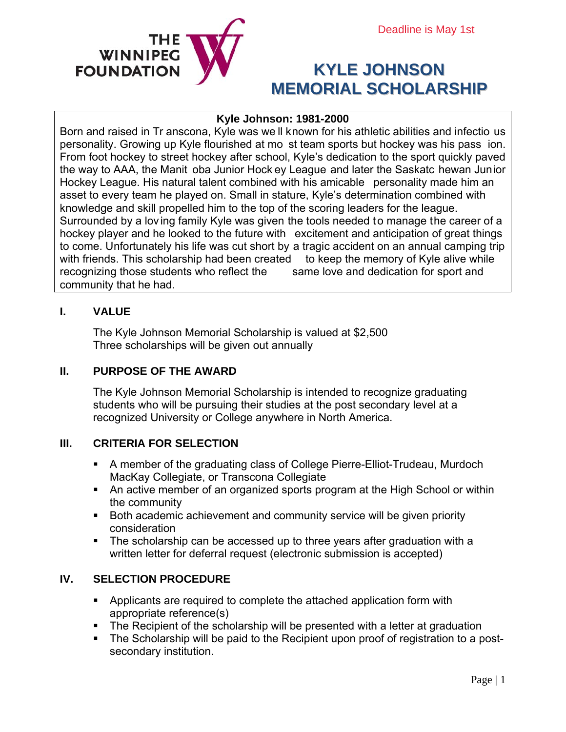

# **KYLE JOHNSON MEMORIAL SCHOLARSHIP**

## **Kyle Johnson: 1981-2000**

Born and raised in Tr anscona, Kyle was we ll known for his athletic abilities and infectio us personality. Growing up Kyle flourished at mo st team sports but hockey was his pass ion. From foot hockey to street hockey after school, Kyle's dedication to the sport quickly paved the way to AAA, the Manit oba Junior Hock ey League and later the Saskatc hewan Junior Hockey League. His natural talent combined with his amicable personality made him an asset to every team he played on. Small in stature, Kyle's determination combined with knowledge and skill propelled him to the top of the scoring leaders for the league. Surrounded by a lov ing family Kyle was given the tools needed to manage the career of a hockey player and he looked to the future with excitement and anticipation of great things to come. Unfortunately his life was cut short by a tragic accident on an annual camping trip with friends. This scholarship had been created to keep the memory of Kyle alive while recognizing those students who reflect the same love and dedication for sport and community that he had.

## **I. VALUE**

The Kyle Johnson Memorial Scholarship is valued at \$2,500 Three scholarships will be given out annually

## **II. PURPOSE OF THE AWARD**

The Kyle Johnson Memorial Scholarship is intended to recognize graduating students who will be pursuing their studies at the post secondary level at a recognized University or College anywhere in North America.

## **III. CRITERIA FOR SELECTION**

- A member of the graduating class of College Pierre-Elliot-Trudeau, Murdoch MacKay Collegiate, or Transcona Collegiate
- An active member of an organized sports program at the High School or within the community
- Both academic achievement and community service will be given priority consideration
- The scholarship can be accessed up to three years after graduation with a written letter for deferral request (electronic submission is accepted)

## **IV. SELECTION PROCEDURE**

- Applicants are required to complete the attached application form with appropriate reference(s)
- The Recipient of the scholarship will be presented with a letter at graduation
- The Scholarship will be paid to the Recipient upon proof of registration to a postsecondary institution.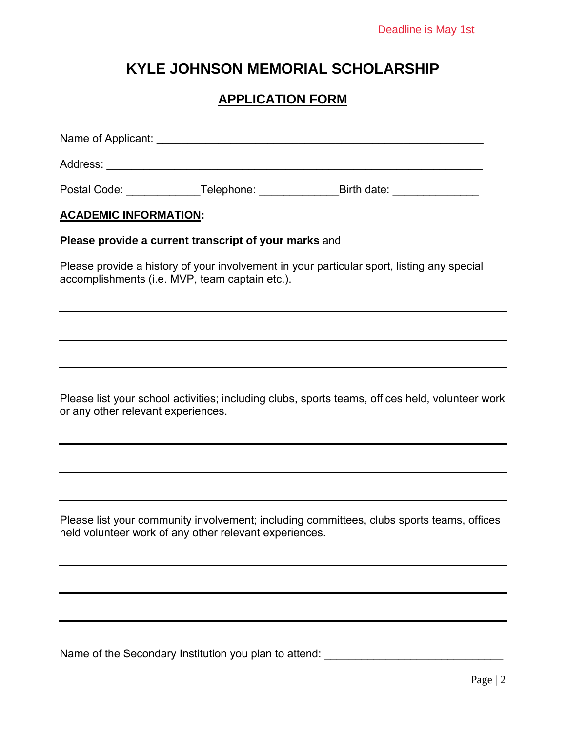## **KYLE JOHNSON MEMORIAL SCHOLARSHIP**

## **APPLICATION FORM**

| Name of Applicant: |            |             |
|--------------------|------------|-------------|
| Address:           |            |             |
| Postal Code:       | Telephone: | Birth date: |

## **ACADEMIC INFORMATION:**

## **Please provide a current transcript of your marks** and

Please provide a history of your involvement in your particular sport, listing any special accomplishments (i.e. MVP, team captain etc.).

Please list your school activities; including clubs, sports teams, offices held, volunteer work or any other relevant experiences.

Please list your community involvement; including committees, clubs sports teams, offices held volunteer work of any other relevant experiences.

Name of the Secondary Institution you plan to attend: \_\_\_\_\_\_\_\_\_\_\_\_\_\_\_\_\_\_\_\_\_\_\_\_\_\_